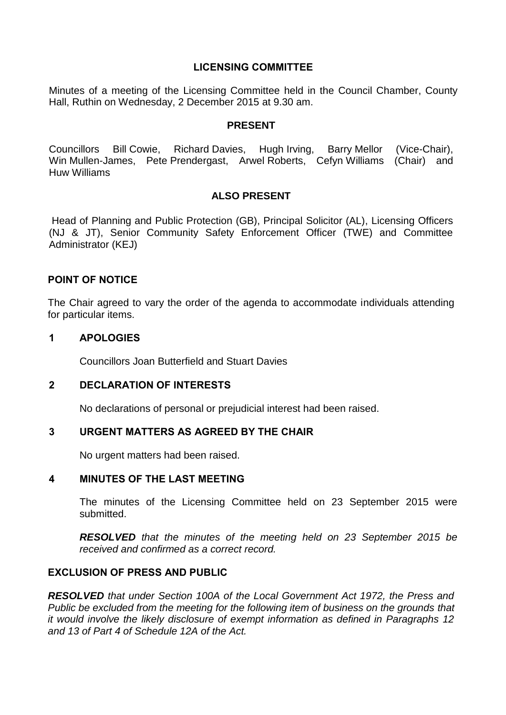# **LICENSING COMMITTEE**

Minutes of a meeting of the Licensing Committee held in the Council Chamber, County Hall, Ruthin on Wednesday, 2 December 2015 at 9.30 am.

#### **PRESENT**

Councillors Bill Cowie, Richard Davies, Hugh Irving, Barry Mellor (Vice-Chair), Win Mullen-James, Pete Prendergast, Arwel Roberts, Cefyn Williams (Chair) and Huw Williams

# **ALSO PRESENT**

Head of Planning and Public Protection (GB), Principal Solicitor (AL), Licensing Officers (NJ & JT), Senior Community Safety Enforcement Officer (TWE) and Committee Administrator (KEJ)

# **POINT OF NOTICE**

The Chair agreed to vary the order of the agenda to accommodate individuals attending for particular items.

## **1 APOLOGIES**

Councillors Joan Butterfield and Stuart Davies

## **2 DECLARATION OF INTERESTS**

No declarations of personal or prejudicial interest had been raised.

## **3 URGENT MATTERS AS AGREED BY THE CHAIR**

No urgent matters had been raised.

## **4 MINUTES OF THE LAST MEETING**

The minutes of the Licensing Committee held on 23 September 2015 were submitted.

*RESOLVED that the minutes of the meeting held on 23 September 2015 be received and confirmed as a correct record.*

# **EXCLUSION OF PRESS AND PUBLIC**

*RESOLVED that under Section 100A of the Local Government Act 1972, the Press and Public be excluded from the meeting for the following item of business on the grounds that it would involve the likely disclosure of exempt information as defined in Paragraphs 12 and 13 of Part 4 of Schedule 12A of the Act.*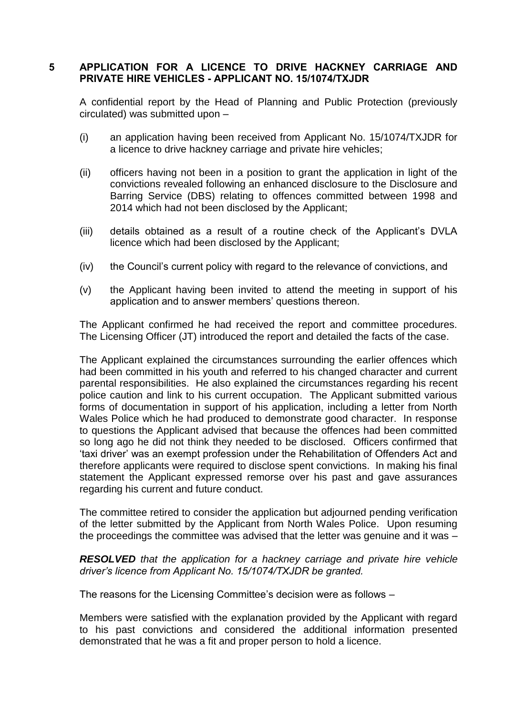# **5 APPLICATION FOR A LICENCE TO DRIVE HACKNEY CARRIAGE AND PRIVATE HIRE VEHICLES - APPLICANT NO. 15/1074/TXJDR**

A confidential report by the Head of Planning and Public Protection (previously circulated) was submitted upon –

- (i) an application having been received from Applicant No. 15/1074/TXJDR for a licence to drive hackney carriage and private hire vehicles;
- (ii) officers having not been in a position to grant the application in light of the convictions revealed following an enhanced disclosure to the Disclosure and Barring Service (DBS) relating to offences committed between 1998 and 2014 which had not been disclosed by the Applicant;
- (iii) details obtained as a result of a routine check of the Applicant's DVLA licence which had been disclosed by the Applicant;
- (iv) the Council's current policy with regard to the relevance of convictions, and
- (v) the Applicant having been invited to attend the meeting in support of his application and to answer members' questions thereon.

The Applicant confirmed he had received the report and committee procedures. The Licensing Officer (JT) introduced the report and detailed the facts of the case.

The Applicant explained the circumstances surrounding the earlier offences which had been committed in his youth and referred to his changed character and current parental responsibilities. He also explained the circumstances regarding his recent police caution and link to his current occupation. The Applicant submitted various forms of documentation in support of his application, including a letter from North Wales Police which he had produced to demonstrate good character. In response to questions the Applicant advised that because the offences had been committed so long ago he did not think they needed to be disclosed. Officers confirmed that 'taxi driver' was an exempt profession under the Rehabilitation of Offenders Act and therefore applicants were required to disclose spent convictions. In making his final statement the Applicant expressed remorse over his past and gave assurances regarding his current and future conduct.

The committee retired to consider the application but adjourned pending verification of the letter submitted by the Applicant from North Wales Police. Upon resuming the proceedings the committee was advised that the letter was genuine and it was –

## *RESOLVED that the application for a hackney carriage and private hire vehicle driver's licence from Applicant No. 15/1074/TXJDR be granted.*

The reasons for the Licensing Committee's decision were as follows –

Members were satisfied with the explanation provided by the Applicant with regard to his past convictions and considered the additional information presented demonstrated that he was a fit and proper person to hold a licence.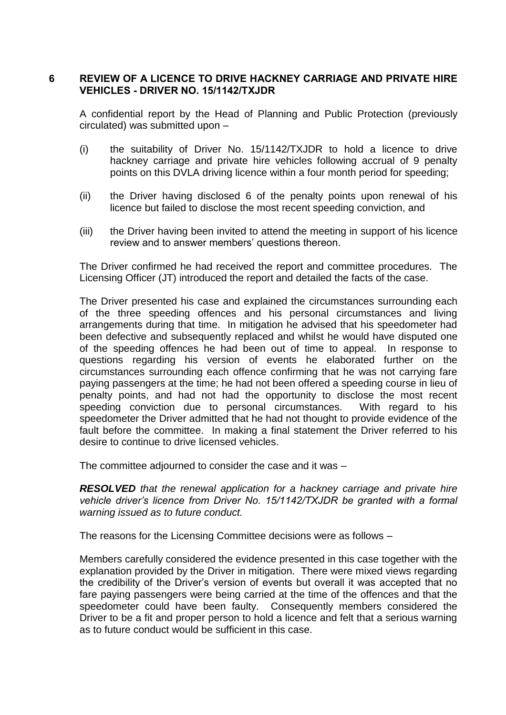## **6 REVIEW OF A LICENCE TO DRIVE HACKNEY CARRIAGE AND PRIVATE HIRE VEHICLES - DRIVER NO. 15/1142/TXJDR**

A confidential report by the Head of Planning and Public Protection (previously circulated) was submitted upon –

- (i) the suitability of Driver No. 15/1142/TXJDR to hold a licence to drive hackney carriage and private hire vehicles following accrual of 9 penalty points on this DVLA driving licence within a four month period for speeding;
- (ii) the Driver having disclosed 6 of the penalty points upon renewal of his licence but failed to disclose the most recent speeding conviction, and
- (iii) the Driver having been invited to attend the meeting in support of his licence review and to answer members' questions thereon.

The Driver confirmed he had received the report and committee procedures. The Licensing Officer (JT) introduced the report and detailed the facts of the case.

The Driver presented his case and explained the circumstances surrounding each of the three speeding offences and his personal circumstances and living arrangements during that time. In mitigation he advised that his speedometer had been defective and subsequently replaced and whilst he would have disputed one of the speeding offences he had been out of time to appeal. In response to questions regarding his version of events he elaborated further on the circumstances surrounding each offence confirming that he was not carrying fare paying passengers at the time; he had not been offered a speeding course in lieu of penalty points, and had not had the opportunity to disclose the most recent speeding conviction due to personal circumstances. With regard to his speedometer the Driver admitted that he had not thought to provide evidence of the fault before the committee. In making a final statement the Driver referred to his desire to continue to drive licensed vehicles.

The committee adjourned to consider the case and it was –

*RESOLVED that the renewal application for a hackney carriage and private hire vehicle driver's licence from Driver No. 15/1142/TXJDR be granted with a formal warning issued as to future conduct.*

The reasons for the Licensing Committee decisions were as follows –

Members carefully considered the evidence presented in this case together with the explanation provided by the Driver in mitigation. There were mixed views regarding the credibility of the Driver's version of events but overall it was accepted that no fare paying passengers were being carried at the time of the offences and that the speedometer could have been faulty. Consequently members considered the Driver to be a fit and proper person to hold a licence and felt that a serious warning as to future conduct would be sufficient in this case.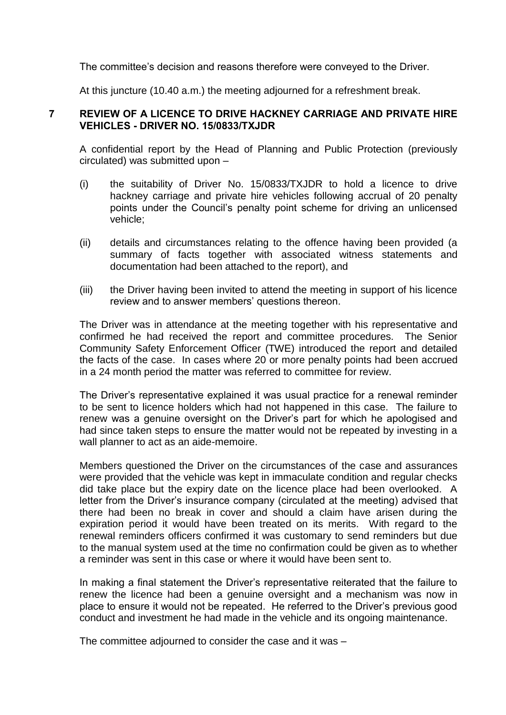The committee's decision and reasons therefore were conveyed to the Driver.

At this juncture (10.40 a.m.) the meeting adjourned for a refreshment break.

#### **7 REVIEW OF A LICENCE TO DRIVE HACKNEY CARRIAGE AND PRIVATE HIRE VEHICLES - DRIVER NO. 15/0833/TXJDR**

A confidential report by the Head of Planning and Public Protection (previously circulated) was submitted upon –

- (i) the suitability of Driver No. 15/0833/TXJDR to hold a licence to drive hackney carriage and private hire vehicles following accrual of 20 penalty points under the Council's penalty point scheme for driving an unlicensed vehicle;
- (ii) details and circumstances relating to the offence having been provided (a summary of facts together with associated witness statements and documentation had been attached to the report), and
- (iii) the Driver having been invited to attend the meeting in support of his licence review and to answer members' questions thereon.

The Driver was in attendance at the meeting together with his representative and confirmed he had received the report and committee procedures. The Senior Community Safety Enforcement Officer (TWE) introduced the report and detailed the facts of the case. In cases where 20 or more penalty points had been accrued in a 24 month period the matter was referred to committee for review.

The Driver's representative explained it was usual practice for a renewal reminder to be sent to licence holders which had not happened in this case. The failure to renew was a genuine oversight on the Driver's part for which he apologised and had since taken steps to ensure the matter would not be repeated by investing in a wall planner to act as an aide-memoire.

Members questioned the Driver on the circumstances of the case and assurances were provided that the vehicle was kept in immaculate condition and regular checks did take place but the expiry date on the licence place had been overlooked. A letter from the Driver's insurance company (circulated at the meeting) advised that there had been no break in cover and should a claim have arisen during the expiration period it would have been treated on its merits. With regard to the renewal reminders officers confirmed it was customary to send reminders but due to the manual system used at the time no confirmation could be given as to whether a reminder was sent in this case or where it would have been sent to.

In making a final statement the Driver's representative reiterated that the failure to renew the licence had been a genuine oversight and a mechanism was now in place to ensure it would not be repeated. He referred to the Driver's previous good conduct and investment he had made in the vehicle and its ongoing maintenance.

The committee adjourned to consider the case and it was –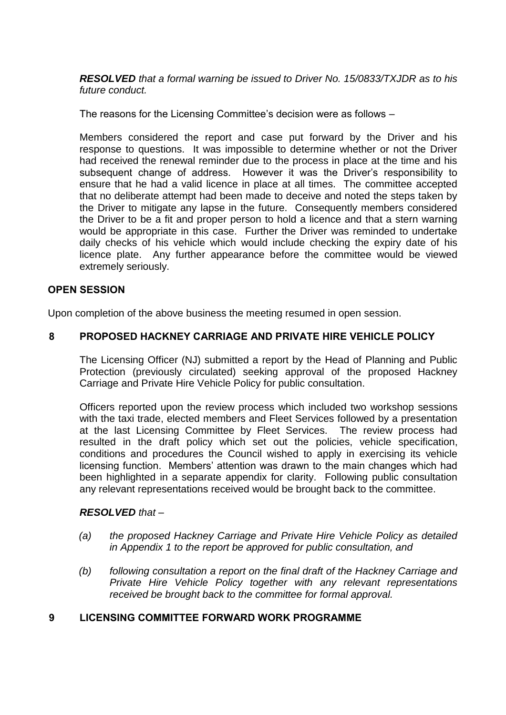*RESOLVED that a formal warning be issued to Driver No. 15/0833/TXJDR as to his future conduct.*

The reasons for the Licensing Committee's decision were as follows –

Members considered the report and case put forward by the Driver and his response to questions. It was impossible to determine whether or not the Driver had received the renewal reminder due to the process in place at the time and his subsequent change of address. However it was the Driver's responsibility to ensure that he had a valid licence in place at all times. The committee accepted that no deliberate attempt had been made to deceive and noted the steps taken by the Driver to mitigate any lapse in the future. Consequently members considered the Driver to be a fit and proper person to hold a licence and that a stern warning would be appropriate in this case. Further the Driver was reminded to undertake daily checks of his vehicle which would include checking the expiry date of his licence plate. Any further appearance before the committee would be viewed extremely seriously.

#### **OPEN SESSION**

Upon completion of the above business the meeting resumed in open session.

## **8 PROPOSED HACKNEY CARRIAGE AND PRIVATE HIRE VEHICLE POLICY**

The Licensing Officer (NJ) submitted a report by the Head of Planning and Public Protection (previously circulated) seeking approval of the proposed Hackney Carriage and Private Hire Vehicle Policy for public consultation.

Officers reported upon the review process which included two workshop sessions with the taxi trade, elected members and Fleet Services followed by a presentation at the last Licensing Committee by Fleet Services. The review process had resulted in the draft policy which set out the policies, vehicle specification, conditions and procedures the Council wished to apply in exercising its vehicle licensing function. Members' attention was drawn to the main changes which had been highlighted in a separate appendix for clarity. Following public consultation any relevant representations received would be brought back to the committee.

#### *RESOLVED that –*

- *(a) the proposed Hackney Carriage and Private Hire Vehicle Policy as detailed in Appendix 1 to the report be approved for public consultation, and*
- *(b) following consultation a report on the final draft of the Hackney Carriage and Private Hire Vehicle Policy together with any relevant representations received be brought back to the committee for formal approval.*

## **9 LICENSING COMMITTEE FORWARD WORK PROGRAMME**